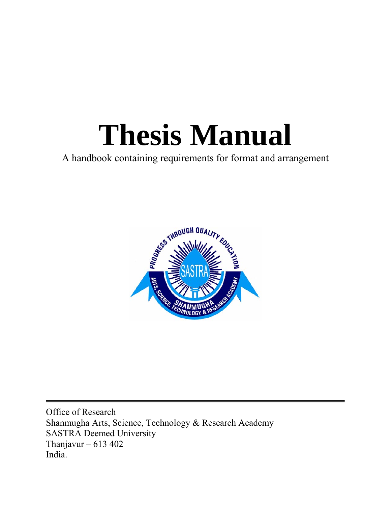# **Thesis Manual**

A handbook containing requirements for format and arrangement



Office of Research Shanmugha Arts, Science, Technology & Research Academy SASTRA Deemed University Thanjavur – 613 402 India.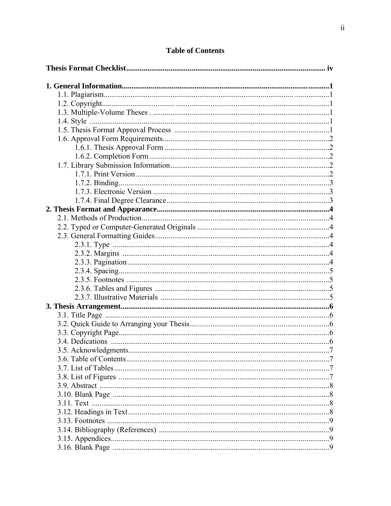# **Table of Contents**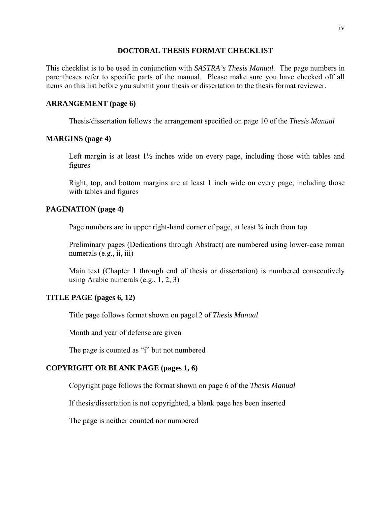#### **DOCTORAL THESIS FORMAT CHECKLIST**

This checklist is to be used in conjunction with *SASTRA's Thesis Manual.* The page numbers in parentheses refer to specific parts of the manual. Please make sure you have checked off all items on this list before you submit your thesis or dissertation to the thesis format reviewer.

#### **ARRANGEMENT (page 6)**

Thesis/dissertation follows the arrangement specified on page 10 of the *Thesis Manual*

#### **MARGINS (page 4)**

 Left margin is at least 1½ inches wide on every page, including those with tables and figures

 Right, top, and bottom margins are at least 1 inch wide on every page, including those with tables and figures

#### **PAGINATION (page 4)**

Page numbers are in upper right-hand corner of page, at least  $\frac{3}{4}$  inch from top

 Preliminary pages (Dedications through Abstract) are numbered using lower-case roman numerals (e.g., ii, iii)

 Main text (Chapter 1 through end of thesis or dissertation) is numbered consecutively using Arabic numerals (e.g., 1, 2, 3)

#### **TITLE PAGE (pages 6, 12)**

Title page follows format shown on page12 of *Thesis Manual*

Month and year of defense are given

The page is counted as "i" but not numbered

#### **COPYRIGHT OR BLANK PAGE (pages 1, 6)**

Copyright page follows the format shown on page 6 of the *Thesis Manual*

If thesis/dissertation is not copyrighted, a blank page has been inserted

The page is neither counted nor numbered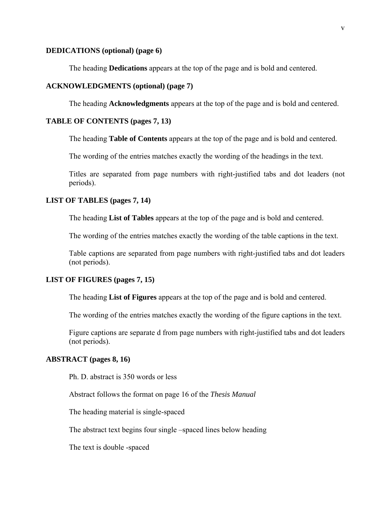#### **DEDICATIONS (optional) (page 6)**

The heading **Dedications** appears at the top of the page and is bold and centered.

## **ACKNOWLEDGMENTS (optional) (page 7)**

The heading **Acknowledgments** appears at the top of the page and is bold and centered.

#### **TABLE OF CONTENTS (pages 7, 13)**

The heading **Table of Contents** appears at the top of the page and is bold and centered.

The wording of the entries matches exactly the wording of the headings in the text.

 Titles are separated from page numbers with right-justified tabs and dot leaders (not periods).

#### **LIST OF TABLES (pages 7, 14)**

The heading **List of Tables** appears at the top of the page and is bold and centered.

The wording of the entries matches exactly the wording of the table captions in the text.

 Table captions are separated from page numbers with right-justified tabs and dot leaders (not periods).

#### **LIST OF FIGURES (pages 7, 15)**

The heading **List of Figures** appears at the top of the page and is bold and centered.

The wording of the entries matches exactly the wording of the figure captions in the text.

 Figure captions are separate d from page numbers with right-justified tabs and dot leaders (not periods).

#### **ABSTRACT (pages 8, 16)**

Ph. D. abstract is 350 words or less

Abstract follows the format on page 16 of the *Thesis Manual*

The heading material is single-spaced

The abstract text begins four single –spaced lines below heading

The text is double -spaced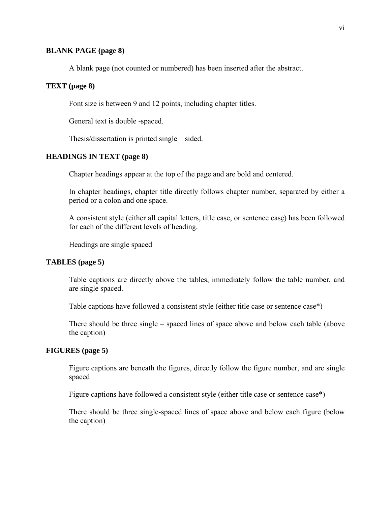#### **BLANK PAGE (page 8)**

A blank page (not counted or numbered) has been inserted after the abstract.

#### **TEXT (page 8)**

Font size is between 9 and 12 points, including chapter titles.

General text is double -spaced.

Thesis/dissertation is printed single – sided.

#### **HEADINGS IN TEXT (page 8)**

Chapter headings appear at the top of the page and are bold and centered.

 In chapter headings, chapter title directly follows chapter number, separated by either a period or a colon and one space.

 A consistent style (either all capital letters, title case, or sentence case) has been followed for each of the different levels of heading.

Headings are single spaced

#### **TABLES (page 5)**

 Table captions are directly above the tables, immediately follow the table number, and are single spaced.

Table captions have followed a consistent style (either title case or sentence case\*)

 There should be three single – spaced lines of space above and below each table (above the caption)

#### **FIGURES (page 5)**

 Figure captions are beneath the figures, directly follow the figure number, and are single spaced

Figure captions have followed a consistent style (either title case or sentence case\*)

 There should be three single-spaced lines of space above and below each figure (below the caption)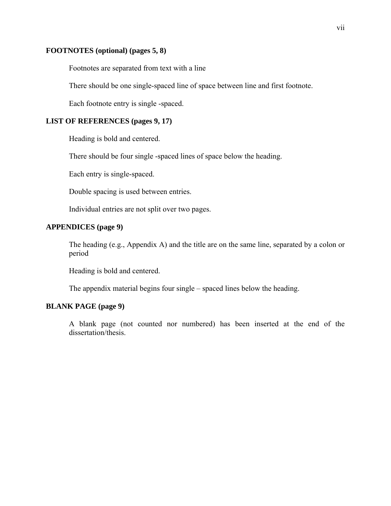#### **FOOTNOTES (optional) (pages 5, 8)**

Footnotes are separated from text with a line

There should be one single-spaced line of space between line and first footnote.

Each footnote entry is single -spaced.

## **LIST OF REFERENCES (pages 9, 17)**

Heading is bold and centered.

There should be four single -spaced lines of space below the heading.

Each entry is single-spaced.

Double spacing is used between entries.

Individual entries are not split over two pages.

## **APPENDICES (page 9)**

 The heading (e.g., Appendix A) and the title are on the same line, separated by a colon or period

Heading is bold and centered.

The appendix material begins four single – spaced lines below the heading.

#### **BLANK PAGE (page 9)**

 A blank page (not counted nor numbered) has been inserted at the end of the dissertation/thesis.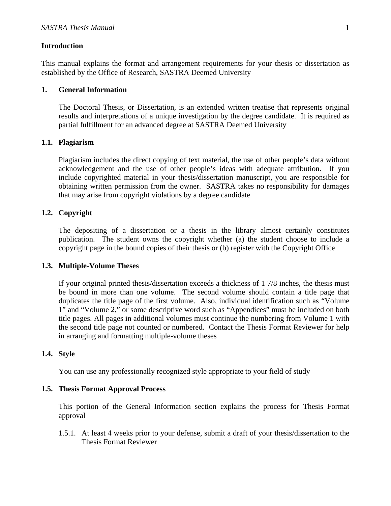#### **Introduction**

This manual explains the format and arrangement requirements for your thesis or dissertation as established by the Office of Research, SASTRA Deemed University

#### **1. General Information**

The Doctoral Thesis, or Dissertation, is an extended written treatise that represents original results and interpretations of a unique investigation by the degree candidate. It is required as partial fulfillment for an advanced degree at SASTRA Deemed University

#### **1.1. Plagiarism**

Plagiarism includes the direct copying of text material, the use of other people's data without acknowledgement and the use of other people's ideas with adequate attribution. If you include copyrighted material in your thesis/dissertation manuscript, you are responsible for obtaining written permission from the owner. SASTRA takes no responsibility for damages that may arise from copyright violations by a degree candidate

#### **1.2. Copyright**

The depositing of a dissertation or a thesis in the library almost certainly constitutes publication. The student owns the copyright whether (a) the student choose to include a copyright page in the bound copies of their thesis or (b) register with the Copyright Office

#### **1.3. Multiple-Volume Theses**

If your original printed thesis/dissertation exceeds a thickness of 1 7/8 inches, the thesis must be bound in more than one volume. The second volume should contain a title page that duplicates the title page of the first volume. Also, individual identification such as "Volume 1" and "Volume 2," or some descriptive word such as "Appendices" must be included on both title pages. All pages in additional volumes must continue the numbering from Volume 1 with the second title page not counted or numbered. Contact the Thesis Format Reviewer for help in arranging and formatting multiple-volume theses

#### **1.4. Style**

You can use any professionally recognized style appropriate to your field of study

#### **1.5. Thesis Format Approval Process**

This portion of the General Information section explains the process for Thesis Format approval

1.5.1. At least 4 weeks prior to your defense, submit a draft of your thesis/dissertation to the Thesis Format Reviewer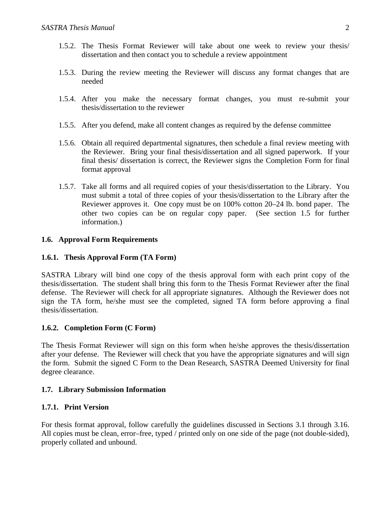- 1.5.2. The Thesis Format Reviewer will take about one week to review your thesis/ dissertation and then contact you to schedule a review appointment
- 1.5.3. During the review meeting the Reviewer will discuss any format changes that are needed
- 1.5.4. After you make the necessary format changes, you must re-submit your thesis/dissertation to the reviewer
- 1.5.5. After you defend, make all content changes as required by the defense committee
- 1.5.6. Obtain all required departmental signatures, then schedule a final review meeting with the Reviewer. Bring your final thesis/dissertation and all signed paperwork. If your final thesis/ dissertation is correct, the Reviewer signs the Completion Form for final format approval
- 1.5.7. Take all forms and all required copies of your thesis/dissertation to the Library. You must submit a total of three copies of your thesis/dissertation to the Library after the Reviewer approves it. One copy must be on 100% cotton 20–24 lb. bond paper. The other two copies can be on regular copy paper. (See section 1.5 for further information.)

## **1.6. Approval Form Requirements**

## **1.6.1. Thesis Approval Form (TA Form)**

SASTRA Library will bind one copy of the thesis approval form with each print copy of the thesis/dissertation. The student shall bring this form to the Thesis Format Reviewer after the final defense. The Reviewer will check for all appropriate signatures. Although the Reviewer does not sign the TA form, he/she must see the completed, signed TA form before approving a final thesis/dissertation.

## **1.6.2. Completion Form (C Form)**

The Thesis Format Reviewer will sign on this form when he/she approves the thesis/dissertation after your defense. The Reviewer will check that you have the appropriate signatures and will sign the form. Submit the signed C Form to the Dean Research, SASTRA Deemed University for final degree clearance.

## **1.7. Library Submission Information**

#### **1.7.1. Print Version**

For thesis format approval, follow carefully the guidelines discussed in Sections 3.1 through 3.16. All copies must be clean, error–free, typed / printed only on one side of the page (not double-sided), properly collated and unbound.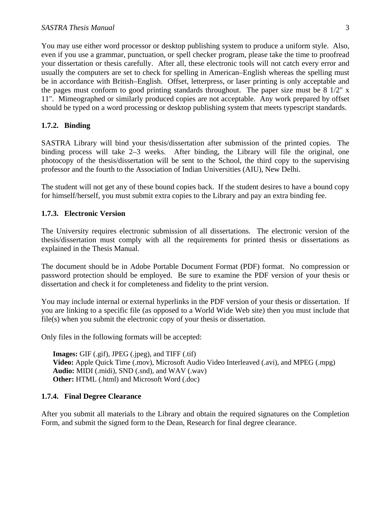You may use either word processor or desktop publishing system to produce a uniform style. Also, even if you use a grammar, punctuation, or spell checker program, please take the time to proofread your dissertation or thesis carefully. After all, these electronic tools will not catch every error and usually the computers are set to check for spelling in American–English whereas the spelling must be in accordance with British–English. Offset, letterpress, or laser printing is only acceptable and the pages must conform to good printing standards throughout. The paper size must be 8 1/2" x 11". Mimeographed or similarly produced copies are not acceptable. Any work prepared by offset should be typed on a word processing or desktop publishing system that meets typescript standards.

## **1.7.2. Binding**

SASTRA Library will bind your thesis/dissertation after submission of the printed copies. The binding process will take 2–3 weeks. After binding, the Library will file the original, one photocopy of the thesis/dissertation will be sent to the School, the third copy to the supervising professor and the fourth to the Association of Indian Universities (AIU), New Delhi.

The student will not get any of these bound copies back. If the student desires to have a bound copy for himself/herself, you must submit extra copies to the Library and pay an extra binding fee.

#### **1.7.3. Electronic Version**

The University requires electronic submission of all dissertations. The electronic version of the thesis/dissertation must comply with all the requirements for printed thesis or dissertations as explained in the Thesis Manual.

The document should be in Adobe Portable Document Format (PDF) format. No compression or password protection should be employed. Be sure to examine the PDF version of your thesis or dissertation and check it for completeness and fidelity to the print version.

You may include internal or external hyperlinks in the PDF version of your thesis or dissertation. If you are linking to a specific file (as opposed to a World Wide Web site) then you must include that file(s) when you submit the electronic copy of your thesis or dissertation.

Only files in the following formats will be accepted:

**Images:** GIF (.gif), JPEG (.jpeg), and TIFF (.tif) **Video:** Apple Quick Time (.mov), Microsoft Audio Video Interleaved (.avi), and MPEG (.mpg) **Audio:** MIDI (.midi), SND (.snd), and WAV (.wav) **Other:** HTML (.html) and Microsoft Word (.doc)

#### **1.7.4. Final Degree Clearance**

After you submit all materials to the Library and obtain the required signatures on the Completion Form, and submit the signed form to the Dean, Research for final degree clearance.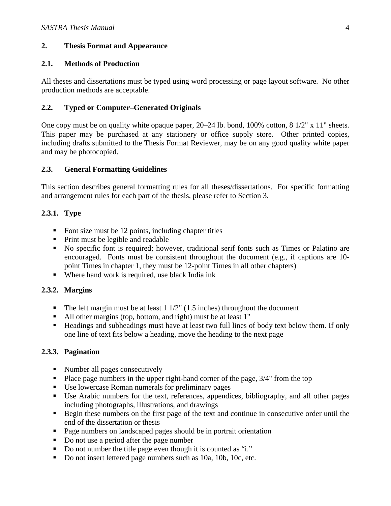## **2. Thesis Format and Appearance**

## **2.1. Methods of Production**

All theses and dissertations must be typed using word processing or page layout software. No other production methods are acceptable.

## **2.2. Typed or Computer–Generated Originals**

One copy must be on quality white opaque paper, 20–24 lb. bond, 100% cotton, 8 1/2" x 11" sheets. This paper may be purchased at any stationery or office supply store. Other printed copies, including drafts submitted to the Thesis Format Reviewer, may be on any good quality white paper and may be photocopied.

## **2.3. General Formatting Guidelines**

This section describes general formatting rules for all theses/dissertations. For specific formatting and arrangement rules for each part of the thesis, please refer to Section 3.

# **2.3.1. Type**

- Font size must be  $12$  points, including chapter titles
- Print must be legible and readable
- No specific font is required; however, traditional serif fonts such as Times or Palatino are encouraged. Fonts must be consistent throughout the document (e.g., if captions are 10 point Times in chapter 1, they must be 12-point Times in all other chapters)
- Where hand work is required, use black India ink

# **2.3.2. Margins**

- The left margin must be at least  $1 \frac{1}{2}$ " (1.5 inches) throughout the document
- All other margins (top, bottom, and right) must be at least 1"
- Headings and subheadings must have at least two full lines of body text below them. If only one line of text fits below a heading, move the heading to the next page

# **2.3.3. Pagination**

- Number all pages consecutively
- Place page numbers in the upper right-hand corner of the page,  $3/4$ " from the top
- Use lowercase Roman numerals for preliminary pages
- Use Arabic numbers for the text, references, appendices, bibliography, and all other pages including photographs, illustrations, and drawings
- Begin these numbers on the first page of the text and continue in consecutive order until the end of the dissertation or thesis
- Page numbers on landscaped pages should be in portrait orientation
- Do not use a period after the page number
- Do not number the title page even though it is counted as "i."
- Do not insert lettered page numbers such as 10a, 10b, 10c, etc.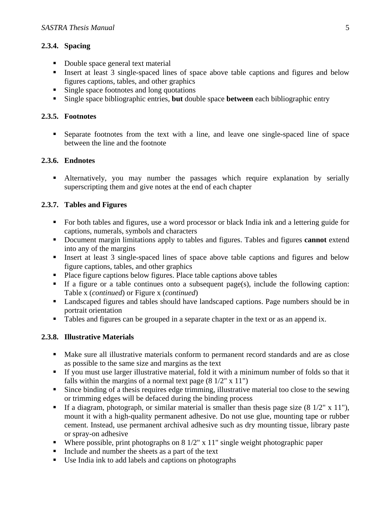## **2.3.4. Spacing**

- Double space general text material
- Insert at least 3 single-spaced lines of space above table captions and figures and below figures captions, tables, and other graphics
- **Single space footnotes and long quotations**
- Single space bibliographic entries, **but** double space **between** each bibliographic entry

# **2.3.5. Footnotes**

 Separate footnotes from the text with a line, and leave one single-spaced line of space between the line and the footnote

# **2.3.6. Endnotes**

 Alternatively, you may number the passages which require explanation by serially superscripting them and give notes at the end of each chapter

## **2.3.7. Tables and Figures**

- For both tables and figures, use a word processor or black India ink and a lettering guide for captions, numerals, symbols and characters
- Document margin limitations apply to tables and figures. Tables and figures **cannot** extend into any of the margins
- Insert at least 3 single-spaced lines of space above table captions and figures and below figure captions, tables, and other graphics
- Place figure captions below figures. Place table captions above tables
- If a figure or a table continues onto a subsequent page(s), include the following caption: Table x (*continued*) or Figure x (*continued*)
- Landscaped figures and tables should have landscaped captions. Page numbers should be in portrait orientation
- Tables and figures can be grouped in a separate chapter in the text or as an append ix.

# **2.3.8. Illustrative Materials**

- Make sure all illustrative materials conform to permanent record standards and are as close as possible to the same size and margins as the text
- If you must use larger illustrative material, fold it with a minimum number of folds so that it falls within the margins of a normal text page  $(8 \frac{1}{2}$ " x  $11$ ")
- Since binding of a thesis requires edge trimming, illustrative material too close to the sewing or trimming edges will be defaced during the binding process
- If a diagram, photograph, or similar material is smaller than thesis page size  $(8\frac{1}{2}$ " x 11"), mount it with a high-quality permanent adhesive. Do not use glue, mounting tape or rubber cement. Instead, use permanent archival adhesive such as dry mounting tissue, library paste or spray-on adhesive
- Where possible, print photographs on  $8\frac{1}{2}$ " x  $11$ " single weight photographic paper
- Include and number the sheets as a part of the text
- Use India ink to add labels and captions on photographs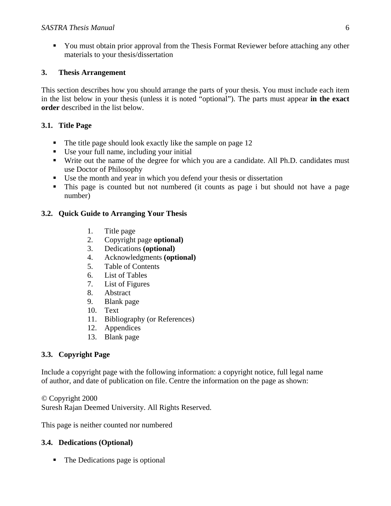You must obtain prior approval from the Thesis Format Reviewer before attaching any other materials to your thesis/dissertation

## **3. Thesis Arrangement**

This section describes how you should arrange the parts of your thesis. You must include each item in the list below in your thesis (unless it is noted "optional"). The parts must appear **in the exact order** described in the list below.

## **3.1. Title Page**

- The title page should look exactly like the sample on page 12
- Use your full name, including your initial
- Write out the name of the degree for which you are a candidate. All Ph.D. candidates must use Doctor of Philosophy
- Use the month and year in which you defend your thesis or dissertation
- This page is counted but not numbered (it counts as page i but should not have a page number)

## **3.2. Quick Guide to Arranging Your Thesis**

- 1. Title page
- 2. Copyright page **optional)**
- 3. Dedications **(optional)**
- 4. Acknowledgments **(optional)**
- 5. Table of Contents
- 6. List of Tables
- 7. List of Figures
- 8. Abstract
- 9. Blank page
- 10. Text
- 11. Bibliography (or References)
- 12. Appendices
- 13. Blank page

# **3.3. Copyright Page**

Include a copyright page with the following information: a copyright notice, full legal name of author, and date of publication on file. Centre the information on the page as shown:

*©* Copyright 2000 Suresh Rajan Deemed University. All Rights Reserved.

This page is neither counted nor numbered

# **3.4. Dedications (Optional)**

• The Dedications page is optional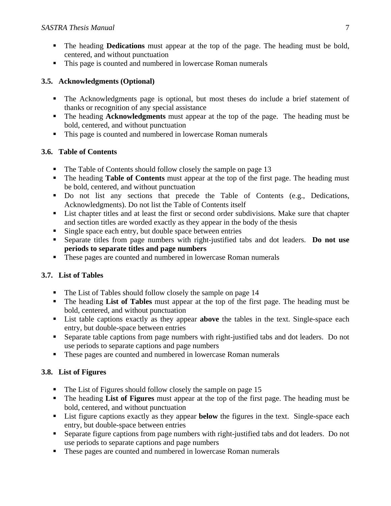- The heading **Dedications** must appear at the top of the page. The heading must be bold, centered, and without punctuation
- This page is counted and numbered in lowercase Roman numerals

## **3.5. Acknowledgments (Optional)**

- The Acknowledgments page is optional, but most theses do include a brief statement of thanks or recognition of any special assistance
- The heading **Acknowledgments** must appear at the top of the page. The heading must be bold, centered, and without punctuation
- This page is counted and numbered in lowercase Roman numerals

## **3.6. Table of Contents**

- The Table of Contents should follow closely the sample on page 13
- The heading **Table of Contents** must appear at the top of the first page. The heading must be bold, centered, and without punctuation
- Do not list any sections that precede the Table of Contents (e.g., Dedications, Acknowledgments). Do not list the Table of Contents itself
- List chapter titles and at least the first or second order subdivisions. Make sure that chapter and section titles are worded exactly as they appear in the body of the thesis
- Single space each entry, but double space between entries
- Separate titles from page numbers with right-justified tabs and dot leaders. **Do not use periods to separate titles and page numbers**
- These pages are counted and numbered in lowercase Roman numerals

# **3.7. List of Tables**

- The List of Tables should follow closely the sample on page 14
- The heading **List of Tables** must appear at the top of the first page. The heading must be bold, centered, and without punctuation
- List table captions exactly as they appear **above** the tables in the text. Single-space each entry, but double-space between entries
- Separate table captions from page numbers with right-justified tabs and dot leaders. Do not use periods to separate captions and page numbers
- **These pages are counted and numbered in lowercase Roman numerals**

# **3.8. List of Figures**

- The List of Figures should follow closely the sample on page 15
- The heading **List of Figures** must appear at the top of the first page. The heading must be bold, centered, and without punctuation
- List figure captions exactly as they appear **below** the figures in the text. Single-space each entry, but double-space between entries
- Separate figure captions from page numbers with right-justified tabs and dot leaders. Do not use periods to separate captions and page numbers
- **These pages are counted and numbered in lowercase Roman numerals**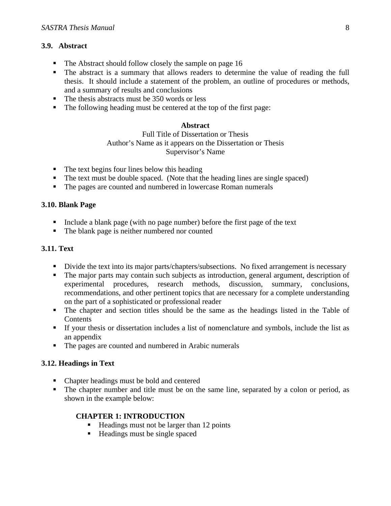## **3.9. Abstract**

- The Abstract should follow closely the sample on page 16
- The abstract is a summary that allows readers to determine the value of reading the full thesis. It should include a statement of the problem, an outline of procedures or methods, and a summary of results and conclusions
- $\blacksquare$  The thesis abstracts must be 350 words or less
- The following heading must be centered at the top of the first page:

## **Abstract**

Full Title of Dissertation or Thesis Author's Name as it appears on the Dissertation or Thesis Supervisor's Name

- $\blacksquare$  The text begins four lines below this heading
- The text must be double spaced. (Note that the heading lines are single spaced)
- The pages are counted and numbered in lowercase Roman numerals

## **3.10. Blank Page**

- Include a blank page (with no page number) before the first page of the text
- The blank page is neither numbered nor counted

## **3.11. Text**

- Divide the text into its major parts/chapters/subsections. No fixed arrangement is necessary
- The major parts may contain such subjects as introduction, general argument, description of experimental procedures, research methods, discussion, summary, conclusions, recommendations, and other pertinent topics that are necessary for a complete understanding on the part of a sophisticated or professional reader
- The chapter and section titles should be the same as the headings listed in the Table of **Contents**
- If your thesis or dissertation includes a list of nomenclature and symbols, include the list as an appendix
- The pages are counted and numbered in Arabic numerals

## **3.12. Headings in Text**

- Chapter headings must be bold and centered
- The chapter number and title must be on the same line, separated by a colon or period, as shown in the example below:

## **CHAPTER 1: INTRODUCTION**

- $\blacksquare$  Headings must not be larger than 12 points
- Headings must be single spaced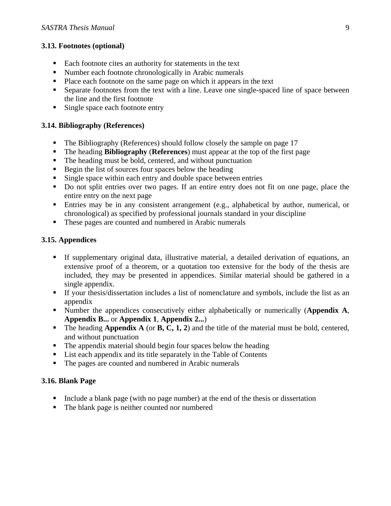## **3.13. Footnotes (optional)**

- Each footnote cites an authority for statements in the text
- Number each footnote chronologically in Arabic numerals
- Place each footnote on the same page on which it appears in the text
- Separate footnotes from the text with a line. Leave one single-spaced line of space between the line and the first footnote
- Single space each footnote entry

## **3.14. Bibliography (References)**

- The Bibliography (References) should follow closely the sample on page 17
- The heading **Bibliography** (**References**) must appear at the top of the first page
- The heading must be bold, centered, and without punctuation
- Begin the list of sources four spaces below the heading
- Single space within each entry and double space between entries
- Do not split entries over two pages. If an entire entry does not fit on one page, place the entire entry on the next page
- Entries may be in any consistent arrangement (e.g., alphabetical by author, numerical, or chronological) as specified by professional journals standard in your discipline
- These pages are counted and numbered in Arabic numerals

## **3.15. Appendices**

- If supplementary original data, illustrative material, a detailed derivation of equations, an extensive proof of a theorem, or a quotation too extensive for the body of the thesis are included, they may be presented in appendices. Similar material should be gathered in a single appendix.
- If your thesis/dissertation includes a list of nomenclature and symbols, include the list as an appendix
- Number the appendices consecutively either alphabetically or numerically (**Appendix A**, **Appendix B...** or **Appendix 1**, **Appendix 2...**)
- The heading **Appendix A** (or **B**, **C**, **1**, **2**) and the title of the material must be bold, centered, and without punctuation
- The appendix material should begin four spaces below the heading
- List each appendix and its title separately in the Table of Contents
- The pages are counted and numbered in Arabic numerals

## **3.16. Blank Page**

- Include a blank page (with no page number) at the end of the thesis or dissertation
- The blank page is neither counted nor numbered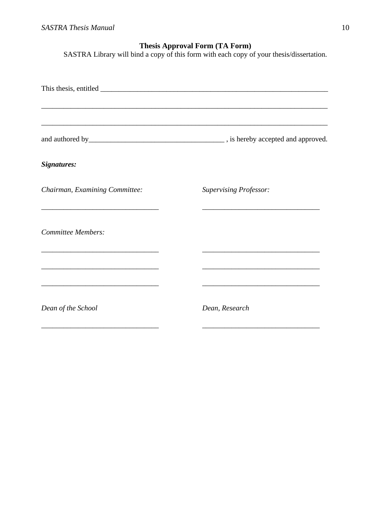# **Thesis Approval Form (TA Form)**

SASTRA Library will bind a copy of this form with each copy of your thesis/dissertation.

|                                                                                                                                            | ,我们也不能在这里的人,我们也不能在这里的人,我们也不能在这里的人,我们也不能在这里的人,我们也不能在这里的人,我们也不能在这里的人,我们也不能在这里的人,我们也                                                                                                                                                             |
|--------------------------------------------------------------------------------------------------------------------------------------------|-----------------------------------------------------------------------------------------------------------------------------------------------------------------------------------------------------------------------------------------------|
|                                                                                                                                            |                                                                                                                                                                                                                                               |
| Signatures:                                                                                                                                |                                                                                                                                                                                                                                               |
| Chairman, Examining Committee:                                                                                                             | <b>Supervising Professor:</b>                                                                                                                                                                                                                 |
| <b>Committee Members:</b>                                                                                                                  |                                                                                                                                                                                                                                               |
| <u> 1980 - Johann John Stone, mars et al. (1980)</u><br><u> 1989 - Johann Barbara, margaret eta idazlearia (h. 1989).</u>                  | <u> 1989 - Johann John Stone, mars et al. 1989 - John Stone, mars et al. 1989 - John Stone, mars et al. 1989 - Joh</u><br><u> 1989 - Johann John Stone, mars eta bat eta bat eta bat eta bat eta bat ez arte eta bat ez arte eta bat ez a</u> |
| Dean of the School<br><u> 1980 - Johann John Stone, market fan it ferstjer fan it ferstjer fan it ferstjer fan it ferstjer fan it fers</u> | Dean, Research                                                                                                                                                                                                                                |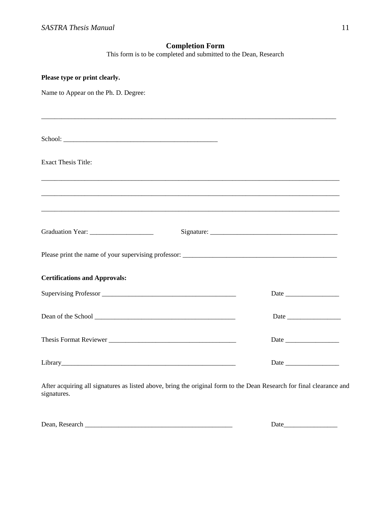## **Completion Form**

This form is to be completed and submitted to the Dean, Research

| Please type or print clearly.                                                                                                                                                                                                  |  |
|--------------------------------------------------------------------------------------------------------------------------------------------------------------------------------------------------------------------------------|--|
| Name to Appear on the Ph. D. Degree:                                                                                                                                                                                           |  |
|                                                                                                                                                                                                                                |  |
|                                                                                                                                                                                                                                |  |
| School:                                                                                                                                                                                                                        |  |
|                                                                                                                                                                                                                                |  |
| <b>Exact Thesis Title:</b>                                                                                                                                                                                                     |  |
|                                                                                                                                                                                                                                |  |
|                                                                                                                                                                                                                                |  |
|                                                                                                                                                                                                                                |  |
| Graduation Year: ____________________                                                                                                                                                                                          |  |
|                                                                                                                                                                                                                                |  |
|                                                                                                                                                                                                                                |  |
| <b>Certifications and Approvals:</b>                                                                                                                                                                                           |  |
|                                                                                                                                                                                                                                |  |
|                                                                                                                                                                                                                                |  |
|                                                                                                                                                                                                                                |  |
|                                                                                                                                                                                                                                |  |
|                                                                                                                                                                                                                                |  |
| Library experience and the contract of the contract of the contract of the contract of the contract of the contract of the contract of the contract of the contract of the contract of the contract of the contract of the con |  |

After acquiring all signatures as listed above, bring the original form to the Dean Research for final clearance and signatures.

Dean, Research \_\_\_\_\_\_\_\_\_\_\_\_\_\_\_\_\_\_\_\_\_\_\_\_\_\_\_\_\_\_\_\_\_\_\_\_\_\_\_\_\_\_\_\_ Date\_\_\_\_\_\_\_\_\_\_\_\_\_\_\_\_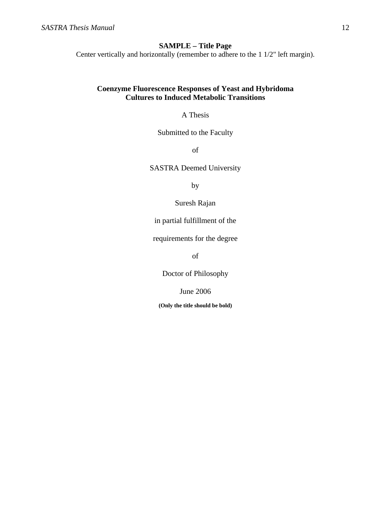## **SAMPLE – Title Page**

Center vertically and horizontally (remember to adhere to the 1 1/2" left margin).

## **Coenzyme Fluorescence Responses of Yeast and Hybridoma Cultures to Induced Metabolic Transitions**

A Thesis

Submitted to the Faculty

of

SASTRA Deemed University

by

Suresh Rajan

in partial fulfillment of the

requirements for the degree

of

Doctor of Philosophy

June 2006

**(Only the title should be bold)**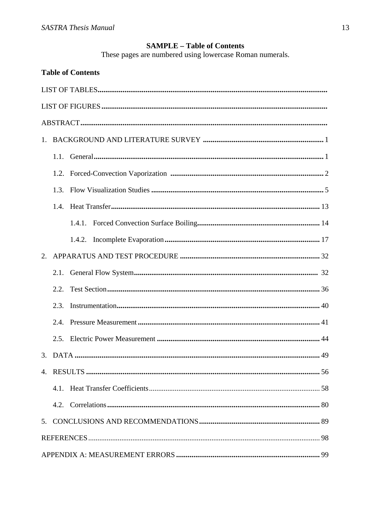# **SAMPLE - Table of Contents**

These pages are numbered using lowercase Roman numerals.

|    |      | <b>Table of Contents</b> |
|----|------|--------------------------|
|    |      |                          |
|    |      |                          |
|    |      |                          |
|    |      |                          |
|    |      |                          |
|    |      |                          |
|    | 1.3. |                          |
|    |      |                          |
|    |      |                          |
|    |      |                          |
| 2. |      |                          |
|    | 2.1. |                          |
|    | 2.2. |                          |
|    | 2.3. |                          |
|    | 2.4  |                          |
|    |      |                          |
|    |      |                          |
|    |      |                          |
|    |      |                          |
|    |      |                          |
|    |      |                          |
|    |      |                          |
|    |      |                          |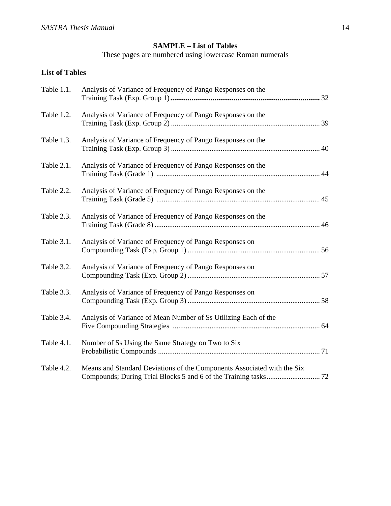# **SAMPLE – List of Tables**

These pages are numbered using lowercase Roman numerals

# **List of Tables**

| Table 1.1. | Analysis of Variance of Frequency of Pango Responses on the             |
|------------|-------------------------------------------------------------------------|
| Table 1.2. | Analysis of Variance of Frequency of Pango Responses on the             |
| Table 1.3. | Analysis of Variance of Frequency of Pango Responses on the             |
| Table 2.1. | Analysis of Variance of Frequency of Pango Responses on the             |
| Table 2.2. | Analysis of Variance of Frequency of Pango Responses on the             |
| Table 2.3. | Analysis of Variance of Frequency of Pango Responses on the             |
| Table 3.1. | Analysis of Variance of Frequency of Pango Responses on                 |
| Table 3.2. | Analysis of Variance of Frequency of Pango Responses on                 |
| Table 3.3. | Analysis of Variance of Frequency of Pango Responses on                 |
| Table 3.4. | Analysis of Variance of Mean Number of Ss Utilizing Each of the         |
| Table 4.1. | Number of Ss Using the Same Strategy on Two to Six                      |
| Table 4.2. | Means and Standard Deviations of the Components Associated with the Six |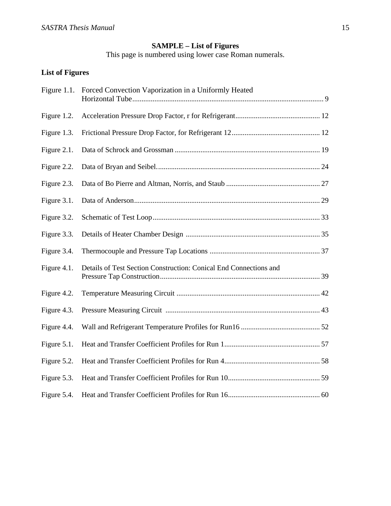#### **SAMPLE – List of Figures**

This page is numbered using lower case Roman numerals.

# **List of Figures**

| Figure $1.1$ . | Forced Convection Vaporization in a Uniformly Heated              |  |
|----------------|-------------------------------------------------------------------|--|
| Figure 1.2.    |                                                                   |  |
| Figure 1.3.    |                                                                   |  |
| Figure 2.1.    |                                                                   |  |
| Figure 2.2.    |                                                                   |  |
| Figure 2.3.    |                                                                   |  |
| Figure 3.1.    |                                                                   |  |
| Figure 3.2.    |                                                                   |  |
| Figure 3.3.    |                                                                   |  |
| Figure 3.4.    |                                                                   |  |
| Figure 4.1.    | Details of Test Section Construction: Conical End Connections and |  |
| Figure 4.2.    |                                                                   |  |
| Figure 4.3.    |                                                                   |  |
| Figure 4.4.    |                                                                   |  |
| Figure 5.1.    |                                                                   |  |
| Figure 5.2.    |                                                                   |  |
| Figure 5.3.    |                                                                   |  |
| Figure 5.4.    |                                                                   |  |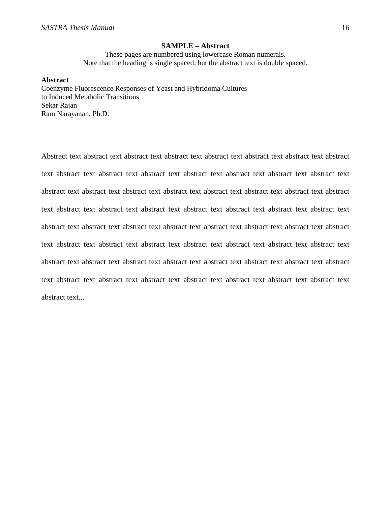#### **SAMPLE – Abstract**

These pages are numbered using lowercase Roman numerals. Note that the heading is single spaced, but the abstract text is double spaced.

#### **Abstract**

Coenzyme Fluorescence Responses of Yeast and Hybridoma Cultures to Induced Metabolic Transitions Sekar Rajan Ram Narayanan, Ph.D.

Abstract text abstract text abstract text abstract text abstract text abstract text abstract text abstract text abstract text abstract text abstract text abstract text abstract text abstract text abstract text abstract text abstract text abstract text abstract text abstract text abstract text abstract text abstract text abstract text abstract text abstract text abstract text abstract text abstract text abstract text abstract text abstract text abstract text abstract text abstract text abstract text abstract text abstract text abstract text abstract text abstract text abstract text abstract text abstract text abstract text abstract text abstract text abstract text abstract text abstract text abstract text abstract text abstract text abstract text abstract text abstract text abstract text abstract text abstract text abstract text abstract text...